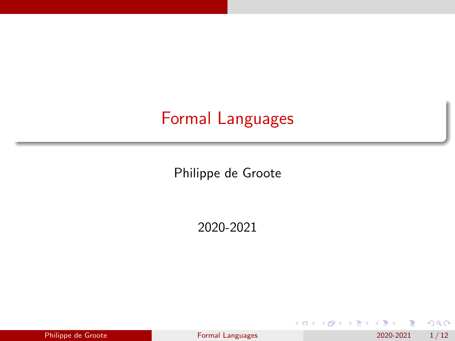# <span id="page-0-0"></span>Formal Languages

Philippe de Groote

2020-2021

|  | Philippe de Groote |  |
|--|--------------------|--|
|  |                    |  |

目 Pormal Languages 2020-2021 1/12

h.

化重新润滑

 $299$ 

**Kロト K同下**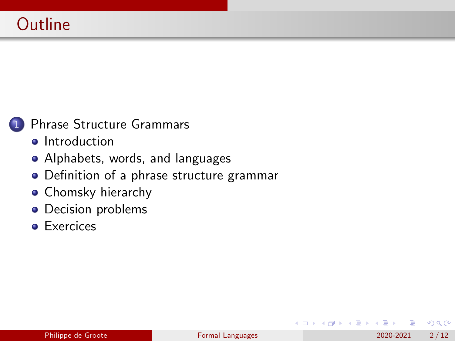#### [Phrase Structure Grammars](#page-2-0)

- **o** [Introduction](#page-2-0)
- [Alphabets, words, and languages](#page-5-0)
- [Definition of a phrase structure grammar](#page-20-0)
- **[Chomsky hierarchy](#page-25-0)**
- [Decision problems](#page-26-0)
- **e** [Exercices](#page-29-0)

4 D F

 $\rightarrow$ 

 $\Omega$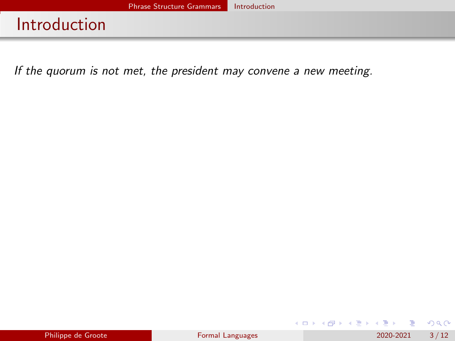## <span id="page-2-0"></span>Introduction

If the quorum is not met, the president may convene a new meeting.

 $\mathcal{A} \ \equiv \ \mathcal{B} \ \ \mathcal{A} \ \equiv \ \mathcal{B}$ 

**K ロ ▶ K 何 ▶**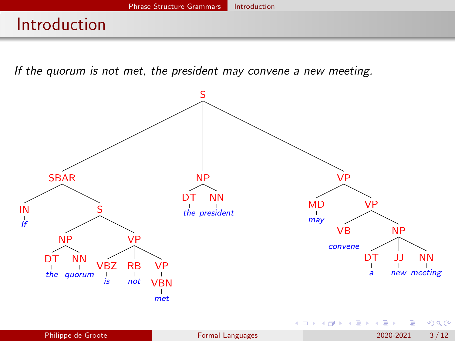### Introduction

If the quorum is not met, the president may convene a new meeting.



4 0 8

化重新润滑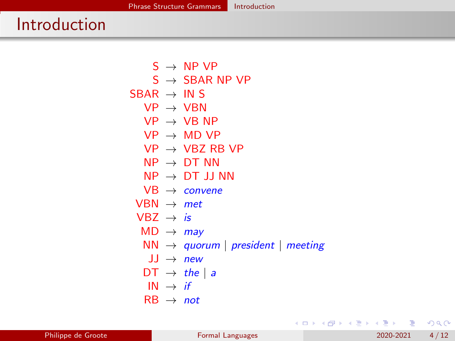### Introduction

 $S \rightarrow NP VP$  $S \rightarrow$  SBAR NP VP  $SBAR \rightarrow IN S$  $VP \rightarrow VBN$  $VP \rightarrow VRNP$  $VP \rightarrow MD VP$  $VP \rightarrow VR7 RR VP$  $NP \rightarrow DT$  NN  $NP \rightarrow DT$  JJ NN  $VB \rightarrow \text{convene}$  $VBN \rightarrow met$  $VBZ \rightarrow is$  $MD \rightarrow$  may  $NN \rightarrow$  quorum | president | meeting  $H \rightarrow n$ ew  $DT \rightarrow the \mid a$  $IN \rightarrow if$  $RB \rightarrow not$ 

K ロ ▶ K 個 ▶ K 로 ▶ K 로 ▶ - 로 - K 9 Q @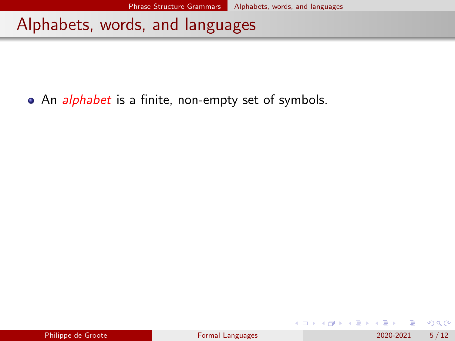<span id="page-5-0"></span>• An *alphabet* is a finite, non-empty set of symbols.

| Philippe de Groote |  |  |
|--------------------|--|--|

4日下

 $QQ$ 

∋ »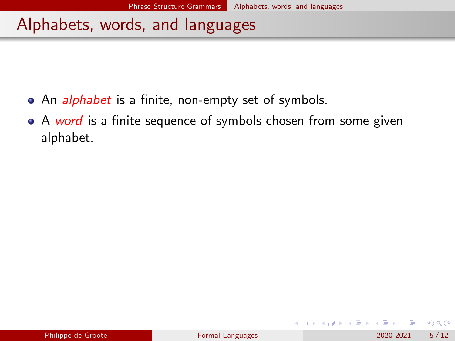- An *alphabet* is a finite, non-empty set of symbols.
- A word is a finite sequence of symbols chosen from some given alphabet.

 $\Omega$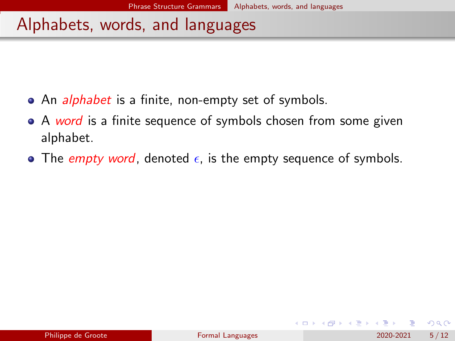- An *alphabet* is a finite, non-empty set of symbols.
- A word is a finite sequence of symbols chosen from some given alphabet.
- The empty word, denoted  $\epsilon$ , is the empty sequence of symbols.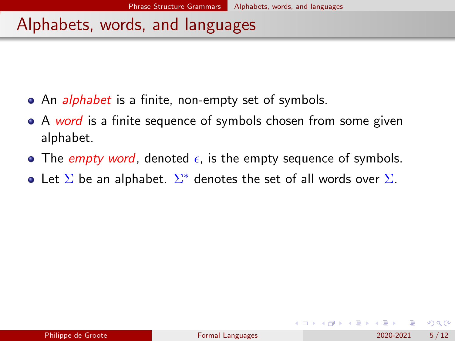- An *alphabet* is a finite, non-empty set of symbols.
- A word is a finite sequence of symbols chosen from some given alphabet.
- The empty word, denoted  $\epsilon$ , is the empty sequence of symbols.
- Let  $\Sigma$  be an alphabet.  $\Sigma^*$  denotes the set of all words over  $\Sigma.$

 $\Omega$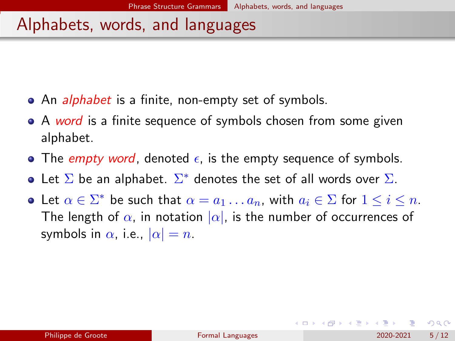- An *alphabet* is a finite, non-empty set of symbols.
- A word is a finite sequence of symbols chosen from some given alphabet.
- The empty word, denoted  $\epsilon$ , is the empty sequence of symbols.
- Let  $\Sigma$  be an alphabet.  $\Sigma^*$  denotes the set of all words over  $\Sigma.$
- Let  $\alpha \in \Sigma^*$  be such that  $\alpha = a_1 \dots a_n$ , with  $a_i \in \Sigma$  for  $1 \leq i \leq n$ . The length of  $\alpha$ , in notation  $|\alpha|$ , is the number of occurrences of symbols in  $\alpha$ , i.e.,  $|\alpha| = n$ .

 $\Omega$ 

(ロト (個) (ミト (重)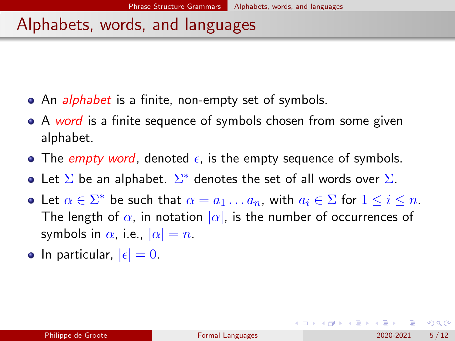- An *alphabet* is a finite, non-empty set of symbols.
- A word is a finite sequence of symbols chosen from some given alphabet.
- The empty word, denoted  $\epsilon$ , is the empty sequence of symbols.
- Let  $\Sigma$  be an alphabet.  $\Sigma^*$  denotes the set of all words over  $\Sigma.$
- Let  $\alpha \in \Sigma^*$  be such that  $\alpha = a_1 \dots a_n$ , with  $a_i \in \Sigma$  for  $1 \leq i \leq n$ . The length of  $\alpha$ , in notation  $|\alpha|$ , is the number of occurrences of symbols in  $\alpha$ , i.e.,  $|\alpha| = n$ .
- In particular,  $|\epsilon| = 0$ .

 $\Omega$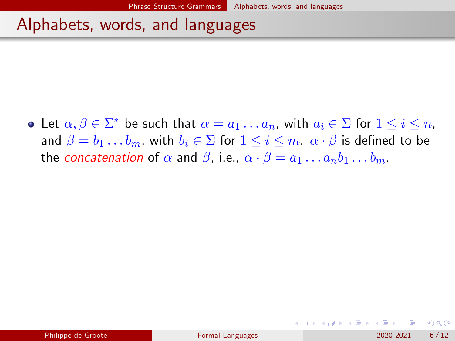Let  $\alpha, \beta \in \Sigma^*$  be such that  $\alpha = a_1 \dots a_n$ , with  $a_i \in \Sigma$  for  $1 \leq i \leq n$ , and  $\beta = b_1 \dots b_m$ , with  $b_i \in \Sigma$  for  $1 \le i \le m$ .  $\alpha \cdot \beta$  is defined to be the concatenation of  $\alpha$  and  $\beta$ , i.e.,  $\alpha \cdot \beta = a_1 \dots a_n b_1 \dots b_m$ .

 $200$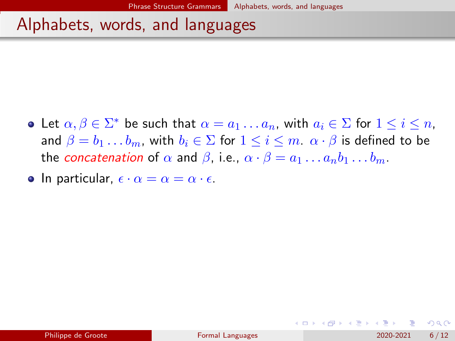- Let  $\alpha, \beta \in \Sigma^*$  be such that  $\alpha = a_1 \dots a_n$ , with  $a_i \in \Sigma$  for  $1 \leq i \leq n$ , and  $\beta = b_1 \dots b_m$ , with  $b_i \in \Sigma$  for  $1 \le i \le m$ .  $\alpha \cdot \beta$  is defined to be the concatenation of  $\alpha$  and  $\beta$ , i.e.,  $\alpha \cdot \beta = a_1 \dots a_n b_1 \dots b_m$ .
- In particular,  $\epsilon \cdot \alpha = \alpha = \alpha \cdot \epsilon$ .

 $200$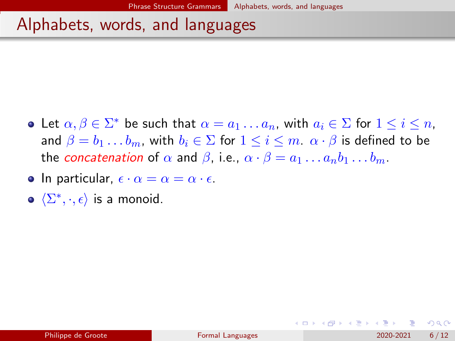- Let  $\alpha, \beta \in \Sigma^*$  be such that  $\alpha = a_1 \dots a_n$ , with  $a_i \in \Sigma$  for  $1 \leq i \leq n$ , and  $\beta = b_1 \dots b_m$ , with  $b_i \in \Sigma$  for  $1 \le i \le m$ .  $\alpha \cdot \beta$  is defined to be the concatenation of  $\alpha$  and  $\beta$ , i.e.,  $\alpha \cdot \beta = a_1 \dots a_n b_1 \dots b_m$ .
- In particular,  $\epsilon \cdot \alpha = \alpha = \alpha \cdot \epsilon$ .
- $\langle \Sigma^*, \cdot, \epsilon \rangle$  is a monoid.

 $200$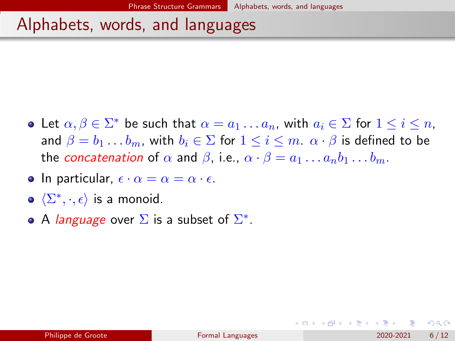- Let  $\alpha, \beta \in \Sigma^*$  be such that  $\alpha = a_1 \dots a_n$ , with  $a_i \in \Sigma$  for  $1 \leq i \leq n$ , and  $\beta = b_1 \dots b_m$ , with  $b_i \in \Sigma$  for  $1 \le i \le m$ .  $\alpha \cdot \beta$  is defined to be the concatenation of  $\alpha$  and  $\beta$ , i.e.,  $\alpha \cdot \beta = a_1 \dots a_n b_1 \dots b_m$ .
- In particular,  $\epsilon \cdot \alpha = \alpha = \alpha \cdot \epsilon$ .
- $\langle \Sigma^*, \cdot, \epsilon \rangle$  is a monoid.
- A *language* over  $\Sigma$  is a subset of  $\Sigma^*$ .

 $200$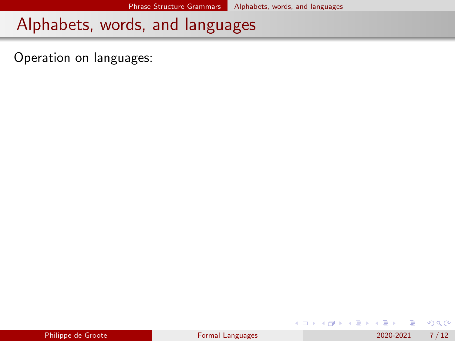Operation on languages:

|  | Philippe de Groote |
|--|--------------------|

4 0 8

Э× ÷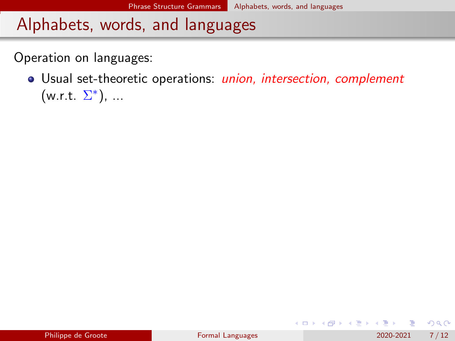Operation on languages:

Usual set-theoretic operations: union, intersection, complement  $(w.r.t. \Sigma^*)$ , ...

 $QQ$ 

 $\mathcal{A} \ \equiv \ \mathcal{B} \ \ \mathcal{A} \ \equiv \ \mathcal{B}$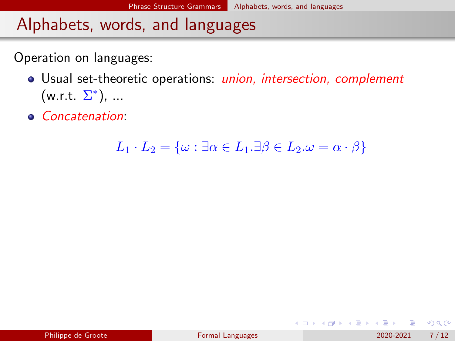Operation on languages:

- Usual set-theoretic operations: union, intersection, complement  $(w.r.t. \Sigma^*)$ , ...
- **Concatenation:**

$$
L_1 \cdot L_2 = \{ \omega : \exists \alpha \in L_1 . \exists \beta \in L_2 . \omega = \alpha \cdot \beta \}
$$

 $\Omega$ 

化重 网络重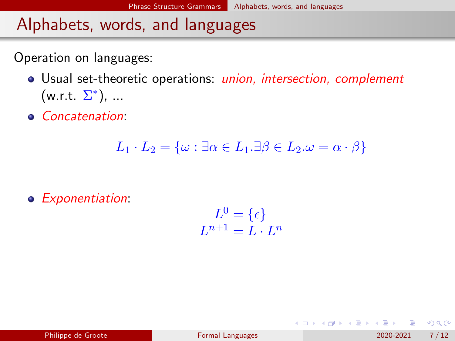Operation on languages:

- Usual set-theoretic operations: *union, intersection, complement*  $(w.r.t. \Sigma^*)$ , ...
- **Concatenation:**

$$
L_1 \cdot L_2 = \{ \omega : \exists \alpha \in L_1 . \exists \beta \in L_2 . \omega = \alpha \cdot \beta \}
$$

**•** Exponentiation:

 $L^0=\{\epsilon\}$  $L^{n+1} = L \cdot L^n$ 

 $200$ 

(ロト (個) (ミト (重)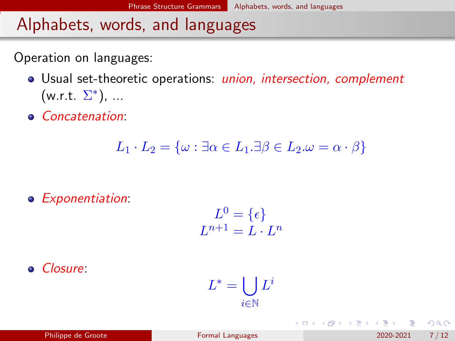Operation on languages:

- Usual set-theoretic operations: *union, intersection, complement*  $(w.r.t. \Sigma^*)$ , ...
- **Concatenation:**

$$
L_1 \cdot L_2 = \{ \omega : \exists \alpha \in L_1 . \exists \beta \in L_2 . \omega = \alpha \cdot \beta \}
$$

**•** Exponentiation:

$$
L^{0} = \{ \epsilon \}
$$
  

$$
L^{n+1} = L \cdot L^{n}
$$

Closure:

$$
L^*=\bigcup_{i\in\mathbb{N}}L^i
$$

化重变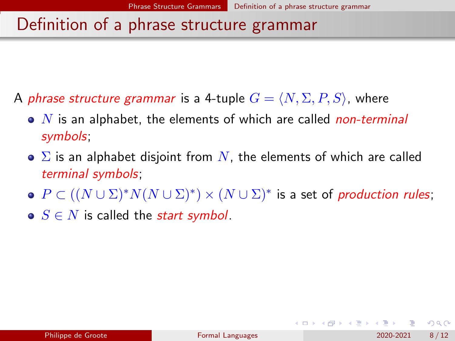- <span id="page-20-0"></span>A phrase structure grammar is a 4-tuple  $G = \langle N, \Sigma, P, S \rangle$ , where
	- $\bullet$  N is an alphabet, the elements of which are called non-terminal symbols;
	- $\bullet$   $\Sigma$  is an alphabet disjoint from N, the elements of which are called terminal symbols;
	- $P \subset ((N \cup \Sigma)^* N (N \cup \Sigma)^*) \times (N \cup \Sigma)^*$  is a set of production rules;
	- $\bullet$   $S \in N$  is called the *start symbol*.

 $200$ 

化重新润滑脂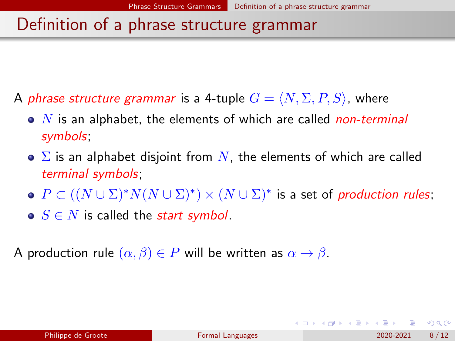- A phrase structure grammar is a 4-tuple  $G = \langle N, \Sigma, P, S \rangle$ , where
	- $\bullet$  N is an alphabet, the elements of which are called *non-terminal* symbols;
	- $\bullet$   $\Sigma$  is an alphabet disjoint from N, the elements of which are called terminal symbols;
	- $P \subset ((N \cup \Sigma)^* N (N \cup \Sigma)^*) \times (N \cup \Sigma)^*$  is a set of production rules;
	- $\bullet$   $S \in N$  is called the start symbol.

A production rule  $(\alpha, \beta) \in P$  will be written as  $\alpha \to \beta$ .

 $\Omega$ 

 $4$  ロ }  $4$   $\overline{m}$  }  $4$   $\overline{m}$  }  $4$   $\overline{m}$  }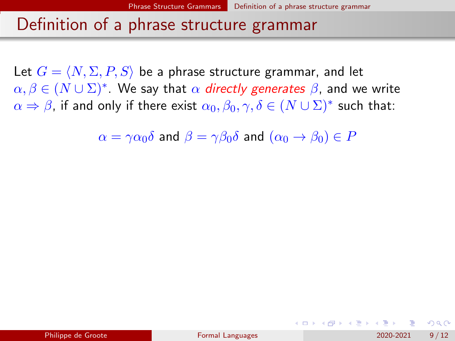Let  $G = \langle N, \Sigma, P, S \rangle$  be a phrase structure grammar, and let  $\alpha,\beta\in (N\cup\Sigma)^*.$  We say that  $\alpha$  directly generates  $\beta,$  and we write  $\alpha \Rightarrow \beta$ , if and only if there exist  $\alpha_0, \beta_0, \gamma, \delta \in (N \cup \Sigma)^*$  such that:

 $\alpha = \gamma \alpha_0 \delta$  and  $\beta = \gamma \beta_0 \delta$  and  $(\alpha_0 \rightarrow \beta_0) \in P$ 

 $200$ 

イロト イ押 トイヨ トイヨ トー ヨ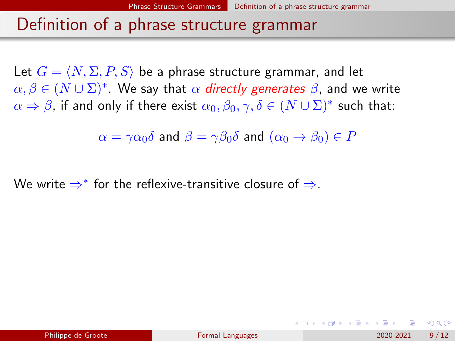Let  $G = \langle N, \Sigma, P, S \rangle$  be a phrase structure grammar, and let  $\alpha,\beta\in (N\cup\Sigma)^*.$  We say that  $\alpha$  directly generates  $\beta,$  and we write  $\alpha \Rightarrow \beta$ , if and only if there exist  $\alpha_0, \beta_0, \gamma, \delta \in (N \cup \Sigma)^*$  such that:

 $\alpha = \gamma \alpha_0 \delta$  and  $\beta = \gamma \beta_0 \delta$  and  $(\alpha_0 \rightarrow \beta_0) \in P$ 

We write  $\Rightarrow^*$  for the reflexive-transitive closure of  $\Rightarrow$ .

 $200$ 

K ロ ⊁ K 御 ⊁ K 君 ⊁ K 君 ⊁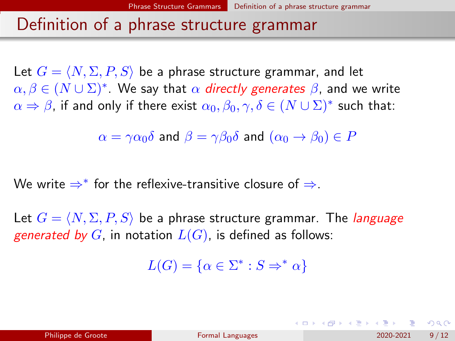Let  $G = \langle N, \Sigma, P, S \rangle$  be a phrase structure grammar, and let  $\alpha,\beta\in (N\cup\Sigma)^*.$  We say that  $\alpha$  directly generates  $\beta,$  and we write  $\alpha \Rightarrow \beta$ , if and only if there exist  $\alpha_0, \beta_0, \gamma, \delta \in (N \cup \Sigma)^*$  such that:

 $\alpha = \gamma \alpha_0 \delta$  and  $\beta = \gamma \beta_0 \delta$  and  $(\alpha_0 \rightarrow \beta_0) \in P$ 

We write  $\Rightarrow^*$  for the reflexive-transitive closure of  $\Rightarrow$ .

Let  $G = \langle N, \Sigma, P, S \rangle$  be a phrase structure grammar. The *language* generated by G, in notation  $L(G)$ , is defined as follows:

 $L(G) = \{ \alpha \in \Sigma^* : S \Rightarrow^* \alpha \}$ 

 $\Omega$ 

지수는 지금 아버지를 지나가 되었다.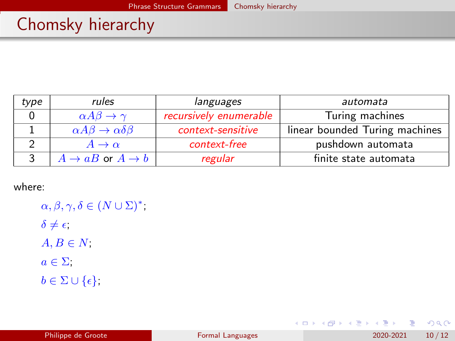# <span id="page-25-0"></span>Chomsky hierarchy

| type | rules                                           | languages              | automata                       |
|------|-------------------------------------------------|------------------------|--------------------------------|
|      | $\alpha A\beta \rightarrow \gamma$              | recursively enumerable | Turing machines                |
|      | $\alpha A\beta \rightarrow \alpha \delta \beta$ | context-sensitive      | linear bounded Turing machines |
|      | $A \rightarrow \alpha$                          | context-free           | pushdown automata              |
|      | $A \rightarrow aB$ or $A \rightarrow b$         | regular                | finite state automata          |

where:

 $\alpha, \beta, \gamma, \delta \in (N \cup \Sigma)^*$ ;  $\delta \neq \epsilon$ ;  $A, B \in N$ ;  $a \in \Sigma$ ;  $b \in \Sigma \cup \{\epsilon\};$ 

 $2990$ 

イロト イ部 トイモ トイモト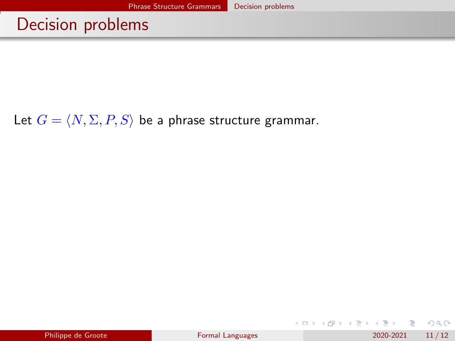#### <span id="page-26-0"></span>Decision problems

Let  $G = \langle N, \Sigma, P, S \rangle$  be a phrase structure grammar.

|  | Philippe de Groote |  |
|--|--------------------|--|

メロトメ 倒 トメ ミトメ ミト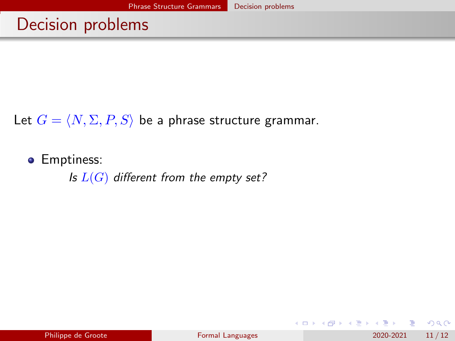### Decision problems

Let  $G = \langle N, \Sigma, P, S \rangle$  be a phrase structure grammar.

**•** Emptiness:

Is  $L(G)$  different from the empty set?

|  | Philippe de Groote |  |
|--|--------------------|--|
|  |                    |  |

医毛囊 医牙骨下的

**← ロ → → ← 何 →** 

 $QQ$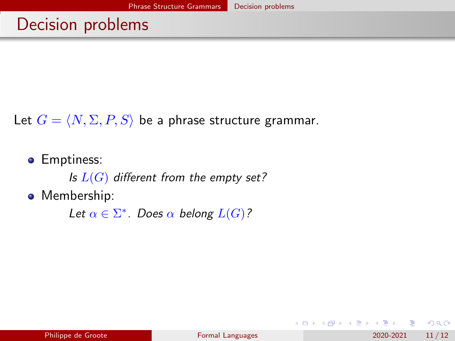## Decision problems

Let  $G = \langle N, \Sigma, P, S \rangle$  be a phrase structure grammar.

**•** Emptiness: Is  $L(G)$  different from the empty set? • Membership:

Let  $\alpha \in \Sigma^*$ . Does  $\alpha$  belong  $L(G)$ ?

 $QQ$ 

医毛囊 医牙骨下的